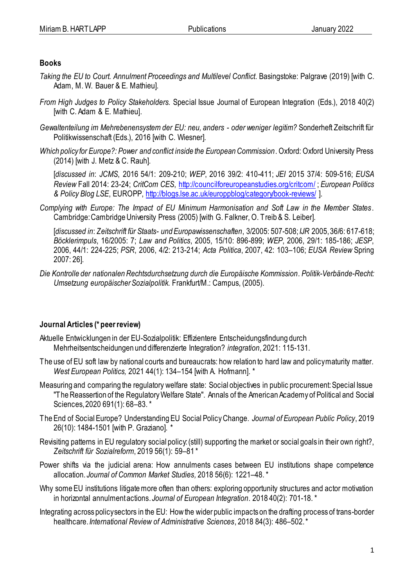## **Books**

- *Taking the EU to Court. Annulment Proceedings and Multilevel Conflict*. Basingstoke: Palgrave (2019) [with C. Adam, M. W. Bauer & E. Mathieu].
- *From High Judges to Policy Stakeholders.* Special Issue Journal of European Integration (Eds.), 2018 40(2) [with C. Adam & E. Mathieu].
- *Gewaltenteilung im Mehrebenensystem der EU: neu, anders - oder weniger legitim?* Sonderheft Zeitschrift für Politikwissenschaft (Eds.), 2016 [with C. Wiesner].
- *Which policy for Europe?: Power and conflict inside the European Commission*. Oxford: Oxford University Press (2014) [with J. Metz & C. Rauh].

[*discussed in*: *JCMS*, 2016 54/1: 209-210; *WEP*, 2016 39/2: 410-411; *JEI* 2015 37/4: 509-516; *EUSA Review* Fall 2014: 23-24; *CritCom CES*,<http://councilforeuropeanstudies.org/critcom/> ; *European Politics & Policy Blog LSE*, EUROPP[, http://blogs.lse.ac.uk/europpblog/category/book-reviews/](http://blogs.lse.ac.uk/europpblog/category/book-reviews/) ].

*[Complying with Europe: The Impact of EU Minimum Harmonisation and Soft Law in the Member States](http://www.cambridge.org/uk/catalogue/catalogue.asp?isbn=0521615135)*. Cambridge: Cambridge University Press (2005) [with G. Falkner, O. Treib & S. Leiber].

[*discussed in*: *Zeitschrift für Staats- und Europawissenschaften*, 3/2005: 507-508; *IJR* 2005, 36/6: 617-618; *Böcklerimpuls*, 16/2005: 7; *Law and Politics*, 2005, 15/10: 896-899; *WEP*, 2006, 29/1: 185-186; *JESP*, 2006, 44/1: 224-225; *PSR*, 2006, 4/2: 213-214; *Acta Politica*, 2007, 42: 103–106; *EUSA Review* Spring 2007: 26].

*[Die Kontrolle der nationalen Rechtsdurchsetzung durch die Europäische Kommission.](http://www.mpi-fg-koeln.mpg.de/pu/werbezettel/wz-hp2005-4.html) Politik-Verbände-Recht: Umsetzung europäischer Sozialpolitik.* Frankfurt/M.: Campus, (2005).

# **Journal Articles (\* peer review)**

- Aktuelle Entwicklungen in der EU-Sozialpolitik: Effizientere Entscheidungsfindung durch Mehrheitsentscheidungen und differenzierte Integration? *integration*, 2021: 115-131.
- The use of EU soft law by national courts and bureaucrats: how relation to hard law and policy maturity matter. *West European Politics,* 2021 44(1): 134–154 [with A. Hofmann]. \*
- Measuring and comparing the regulatory welfare state: Social objectives in public procurement: Special Issue "The Reassertion of the Regulatory Welfare State". Annals of the American Academy of Political and Social Sciences, 2020 691(1): 68–83. \*
- The End of Social Europe? Understanding EU Social Policy Change. *Journal of European Public Policy*, 2019 26(10): 1484-1501 [with P. Graziano]. \*
- Revisiting patterns in EU regulatory social policy: (still) supporting the market or social goals in their own right?, *Zeitschrift für Sozialreform*, 2019 56(1): 59–81 \*
- Power shifts via the judicial arena: How annulments cases between EU institutions shape competence allocation. *Journal of Common Market Studies,* 2018 56(6): 1221–48. \*
- Why some EU institutions litigate more often than others: exploring opportunity structures and actor motivation in horizontal annulment actions. *Journal of European Integration*. 2018 40(2): 701-18. \*
- Integrating across policy sectors in the EU: How the wider public impacts on the drafting process of trans-border healthcare.*International Review of Administrative Sciences*, 2018 84(3): 486–502.\*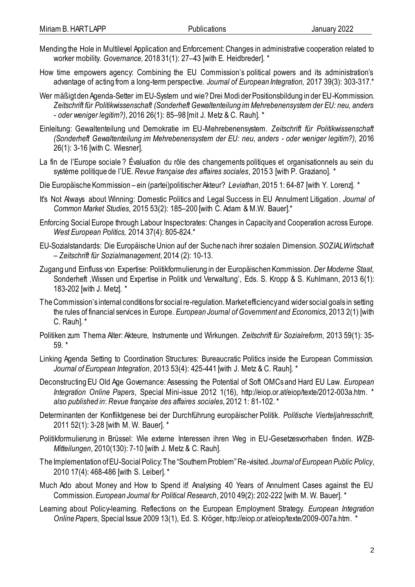- Mending the Hole in Multilevel Application and Enforcement: Changes in administrative cooperation related to worker mobility. *Governance,* 2018 31(1): 27–43 [with E. Heidbreder]. \*
- How time empowers agency: Combining the EU Commission's political powers and its administration's advantage of acting from a long-term perspective. *Journal of European Integration,* 2017 39(3): 303-317.\*
- Wer mäßigt den Agenda-Setter im EU-System und wie? Drei Modi der Positionsbildung in der EU-Kommission. *Zeitschrift für Politikwissenschaft (Sonderheft Gewaltenteilung im Mehrebenensystem der EU: neu, anders - oder weniger legitim?)*, 2016 26(1): 85–98 [mit J. Metz & C. Rauh]. \*
- Einleitung: Gewaltenteilung und Demokratie im EU-Mehrebenensystem. *Zeitschrift für Politikwissenschaft (Sonderheft Gewaltenteilung im Mehrebenensystem der EU: neu, anders - oder weniger legitim?)*, 2016 26(1): 3-16 [with C. Wiesner].
- La fin de l'Europe sociale ? Évaluation du rôle des changements politiques et organisationnels au sein du système politique de l'UE. *Revue française des affaires sociales*, 2015 3 [with P. Graziano]. \*
- Die Europäische Kommission ein (partei)politischer Akteur? *Leviathan*, 2015 1: 64-87 [with Y. Lorenz]. \*
- It's Not Always about Winning: Domestic Politics and Legal Success in EU Annulment Litigation. *Journal of Common Market Studies*, 2015 53(2): 185–200 [with C. Adam & M.W. Bauer].\*
- Enforcing Social Europe through Labour Inspectorates: Changes in Capacity and Cooperation across Europe. *West European Politics,* 2014 37(4): 805-824.\*
- EU-Sozialstandards: Die Europäische Union auf der Suche nach ihrer sozialen Dimension. *SOZIALWirtschaft – Zeitschrift für Sozialmanagement*, 2014 (2): 10-13.
- Zugang und Einfluss von Expertise: Politikformulierung in der Europäischen Kommission. *Der Moderne Staat*, Sonderheft 'Wissen und Expertise in Politik und Verwaltung', Eds. S. Kropp & S. Kuhlmann, 2013 6(1): 183-202 [with J. Metz]. \*
- The Commission's internal conditions for social re-regulation. Market efficiency and wider social goals in setting the rules of financial services in Europe. *European Journal of Government and Economics*, 2013 2(1) [with C. Rauh]. \*
- Politiken zum Thema Alter: Akteure, Instrumente und Wirkungen. *Zeitschrift für Sozialreform*, 2013 59(1): 35- 59. \*
- Linking Agenda Setting to Coordination Structures: Bureaucratic Politics inside the European Commission. *Journal of European Integration*, 2013 53(4): 425-441 [with J. Metz & C. Rauh]. \*
- Deconstructing EU Old Age Governance: Assessing the Potential of Soft OMCs and Hard EU Law. *European Integration Online Papers*, Special Mini-issue 2012 1(16), http://eiop.or.at/eiop/texte/2012-003a.htm. \* *also published in*: *Revue française des affaires sociales*, 2012 1: 81-102. \*
- Determinanten der Konfliktgenese bei der Durchführung europäischer Politik. *Politische Vierteljahresschrift*, 2011 52(1): 3-28 [with M. W. Bauer]. \*
- Politikformulierung in Brüssel: Wie externe Interessen ihren Weg in EU-Gesetzesvorhaben finden. *WZB-Mitteilungen*, 2010(130): 7-10 [with J. Metz & C. Rauh].
- The Implementation of EU-Social Policy: The "Southern Problem" Re-visited. *Journal of European Public Policy*, 2010 17(4): 468-486 [with S. Leiber]. \*
- Much Ado about Money and How to Spend it! Analysing 40 Years of Annulment Cases against the EU Commission. *European Journal for Political Research*, 2010 49(2): 202-222 [with M. W. Bauer]. \*
- Learning about Policy-learning. Reflections on the European Employment Strategy. *European Integration Online Papers*, Special Issue 2009 13(1), Ed. S. Kröger, http://eiop.or.at/eiop/texte/2009-007a.htm. \*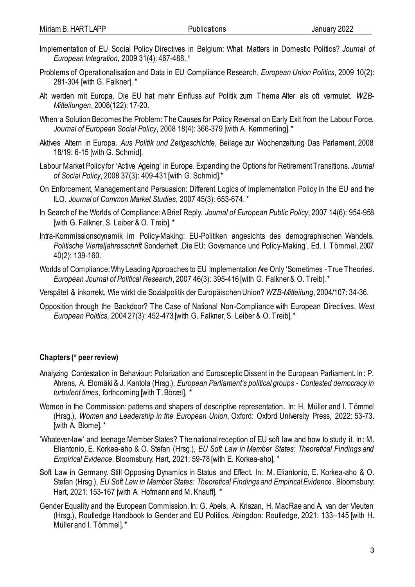- Implementation of EU Social Policy Directives in Belgium: What Matters in Domestic Politics? *Journal of European Integration,* 2009 31(4): 467-488. \*
- Problems of Operationalisation and Data in EU Compliance Research. *European Union Politics*, 2009 10(2): 281-304 [with G. Falkner]. \*
- Alt werden mit Europa. Die EU hat mehr Einfluss auf Politik zum Thema Alter als oft vermutet. *WZB-Mitteilungen*, 2008(122): 17-20.
- When a Solution Becomes the Problem: The Causes for Policy Reversal on Early Exit from the Labour Force. *Journal of European Social Policy*, 2008 18(4): 366-379 [with A. Kemmerling]. \*
- Aktives Altern in Europa. *Aus Politik und Zeitgeschichte*, Beilage zur Wochenzeitung Das Parlament, 2008 18/19: 6-15 [with G. Schmid].
- Labour Market Policy for 'Active Ageing' in Europe. Expanding the Options for Retirement Transitions. *Journal of Social Policy*, 2008 37(3): 409-431 [with G. Schmid].\*
- On Enforcement, Management and Persuasion: Different Logics of Implementation Policy in the EU and the ILO. *Journal of Common Market Studies*, 2007 45(3): 653-674. \*
- In Search of the Worlds of Compliance: A Brief Reply. *Journal of European Public Policy*, 2007 14(6): 954-958 [with G. Falkner, S. Leiber & O. Treib]. \*
- Intra-Kommissionsdynamik im Policy-Making: EU-Politiken angesichts des demographischen Wandels. *Politische Vierteljahresschrift* Sonderheft, Die EU: Governance und Policy-Making', Ed. I. Tömmel, 2007 40(2): 139-160.
- Worlds of Compliance: Why Leading Approaches to EU Implementation Are Only 'Sometimes True Theories'. *European Journal of Political Research*, 2007 46(3): 395-416 [with G. Falkner & O. Treib]. \*
- Verspätet & inkorrekt. Wie wirkt die Sozialpolitik der Europäischen Union? *WZB-Mitteilung*, 2004/107: 34-36.
- [Opposition through the Backdoor? The Case of National Non-Compliance with European Directives.](http://www.wz-berlin.de/ars/ab/pdf/Hartlapp%202004WestEuropeanPolitics.pdf) *West European Politics*, 2004 27(3): 452-473 [with G. Falkner, S. Leiber & O. Treib]. \*

#### **Chapters (\* peer review)**

- Analyzing Contestation in Behaviour: Polarization and Eurosceptic Dissent in the European Parliament. In : P. Ahrens, A. Elomäki & J. Kantola (Hrsg.), *European Parliament's political groups - Contested democracy in turbulent times*, forthcoming [with T. Börzel]. \*
- Women in the Commission: patterns and shapers of descriptive representation. In: H. Müller and I. Tömmel (Hrsg.), *Women and Leadership in the European Union*, Oxford: Oxford University Press, 2022: 53-73. [with A. Blome]. \*
- 'Whatever-law' and teenage Member States? The national reception of EU soft law and how to study it. In: M. Eliantonio, E. Korkea-aho & O. Stefan (Hrsg.), *EU Soft Law in Member States: Theoretical Findings and Empirical Evidence*. Bloomsbury: Hart, 2021: 59-78 [with E. Korkea-aho]. \*
- Soft Law in Germany. Still Opposing Dynamics in Status and Effect. In: M. Eliantonio, E. Korkea-aho & O. Stefan (Hrsg.), *EU Soft Law in Member States: Theoretical Findings and Empirical Evidence*. Bloomsbury: Hart, 2021: 153-167 [with A. Hofmann and M. Knauff]. \*
- Gender Equality and the European Commission. In: G. Abels, A. Kriszan, H. MacRae and A. van der Vleuten (Hrsg.), Routledge Handbook to Gender and EU Politics. Abingdon: Routledge, 2021: 133–145 [with H. Müller and I. Tömmel]. \*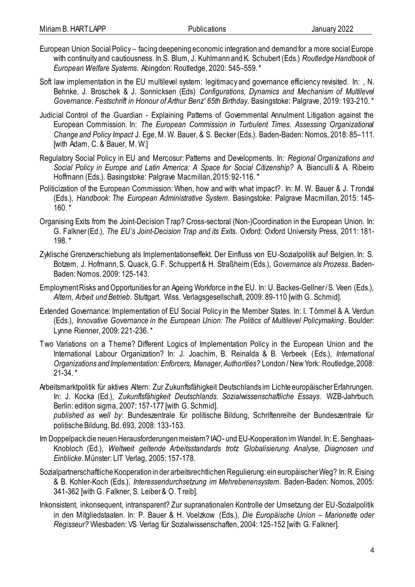- European Union Social Policy facing deepening economic integration and demand for a more social Europe with continuity and cautiousness. In S. Blum, J. Kuhlmann and K. Schubert (Eds.) *Routledge Handbook of European Welfare Systems*. Abingdon: Routledge, 2020: 545–559.\*
- Soft law implementation in the EU multilevel system: legitimacy and governance efficiency revisited. In: , N. Behnke, J. Broschek & J. Sonnicksen (Eds) *Configurations, Dynamics and Mechanism of Multilevel Governance. Festschrift in Honour of Arthur Benz' 65th Birthday*. Basingstoke: Palgrave, 2019: 193-210. \*
- Judicial Control of the Guardian Explaining Patterns of Governmental Annulment Litigation against the European Commission. In: *The European Commission in Turbulent Times. Assessing Organizational Change and Policy Impact* J. Ege, M. W. Bauer, & S. Becker (Eds.). Baden-Baden: Nomos, 2018: 85–111. [with Adam, C. & Bauer, M. W.]
- Regulatory Social Policy in EU and Mercosur: Patterns and Developments. In*: Regional Organizations and Social Policy in Europe and Latin America: A Space for Social Citizenship?* A. Bianculli & A. Ribeiro Hoffmann (Eds.). Basingstoke: Palgrave Macmillan, 2015: 92-116. \*
- Politicization of the European Commission: When, how and with what impact?. In: M. W. Bauer & J. Trondal (Eds.), *Handbook: The European Administrative System*. Basingstoke: Palgrave Macmillan, 2015: 145- 160. \*
- Organising Exits from the Joint-Decision Trap? Cross-sectoral (Non-)Coordination in the European Union. In: G. Falkner (Ed.), *The EU's Joint-Decision Trap and its Exits*. Oxford: Oxford University Press, 2011: 181- 198. \*
- Zyklische Grenzverschiebung als Implementationseffekt. Der Einfluss von EU-Sozialpolitik auf Belgien. In: S. Botzem, J. Hofmann, S. Quack, G. F. Schuppert & H. Straßheim (Eds.), *Governance als Prozess*. Baden-Baden: Nomos, 2009: 125-143.
- Employment Risks and Opportunities for an Ageing Workforce in the EU. In: U. Backes-Gellner / S. Veen (Eds.), *Altern, Arbeit und Betrieb*. Stuttgart. Wiss. Verlagsgesellschaft, 2009: 89-110 [with G. Schmid].
- Extended Governance: Implementation of EU Social Policy in the Member States. In: I. Tömmel & A. Verdun (Eds.), *Innovative Governance in the European Union: The Politics of Multilevel Policymaking*. Boulder: Lynne Rienner, 2009: 221-236. \*
- Two Variations on a Theme? Different Logics of Implementation Policy in the European Union and the International Labour Organization? In: J. Joachim, B. Reinalda & B. Verbeek (Eds.), *International Organizations and Implementation: Enforcers, Manager, Authorities?* London / New York: Routledge, 2008: 21-34. \*
- Arbeitsmarktpolitik für aktives Altern: Zur Zukunftsfähigkeit Deutschlands im Lichte europäischer Erfahrungen. In: J. Kocka (Ed.), *Zukunftsfähigkeit Deutschlands. Sozialwissenschaftliche Essays*. WZB-Jahrbuch. Berlin: edition sigma, 2007: 157-177 [with G. Schmid].

*published as well by*: Bundeszentrale für politische Bildung, Schriftenreihe der Bundeszentrale für politische Bildung, Bd. 693, 2008: 133-153.

- [Im Doppelpack die neuen Herausforderungen meistern? IAO-](http://www.wz-berlin.de/ars/ab/pdf/Hartlapp%20IAO-%20und%20EU-Kooperation%20im%20Wandel.pdf) und EU-Kooperation im Wandel. In: E. Senghaas-Knobloch (Ed.), *Weltweit geltende Arbeitsstandards trotz Globalisierung. Analyse, Diagnosen und Einblicke*. Münster: LIT Verlag, 2005: 157-178.
- [Sozialpartnerschaftliche Kooperation in der arbeitsrechtlichen Regulierung: ein europäischer Weg?](http://www.wz-berlin.de/ars/ab/pdf/Hartlapp%20Sozialpartner2003.pdf) In: R. Eising & B. Kohler-Koch (Eds.), *Interessendurchsetzung im Mehrebenensystem*. Baden-Baden: Nomos, 2005: 341-362 [with G. Falkner, S. Leiber & O. Treib].
- [Inkonsistent, inkonsequent, intransparent? Zur supranationalen Kontrolle der Umsetzung der EU-Sozialpolitik](http://www.wz-berlin.de/ars/ab/pdf/Hartlapp%20Beitrag%20FalknerNETZ.pdf)  [in den Mitgliedstaaten.](http://www.wz-berlin.de/ars/ab/pdf/Hartlapp%20Beitrag%20FalknerNETZ.pdf) In: P. Bauer & H. Voelzkow (Eds.), *Die Europäische Union – Marionette oder Regisseur?* Wiesbaden: VS Verlag für Sozialwissenschaften, 2004: 125-152 [with G. Falkner].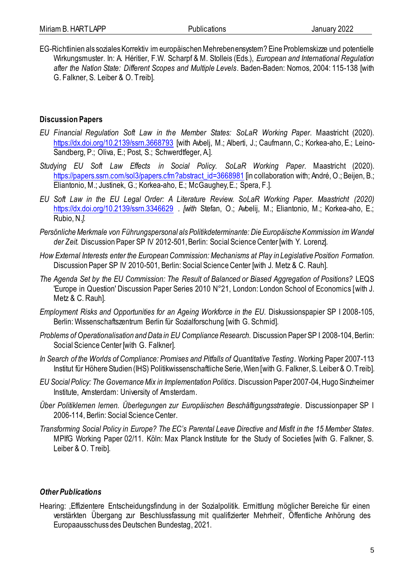[EG-Richtlinien als soziales Korrektiv im europäischen Mehrebenensystem? Eine Problemskizze und potentielle](http://www.wz-berlin.de/ars/ab/pdf/Hartlapp%20SozialesKorrektiv2003.pdf)  [Wirkungsmuster.](http://www.wz-berlin.de/ars/ab/pdf/Hartlapp%20SozialesKorrektiv2003.pdf) In: A. Héritier, F.W. Scharpf & M. Stolleis (Eds.), *European and International Regulation after the Nation State: Different Scopes and Multiple Levels*. Baden-Baden: Nomos, 2004: 115-138 [with G. Falkner, S. Leiber & O. Treib].

## **Discussion Papers**

- *EU Financial Regulation Soft Law in the Member States: SoLaR Working Paper*. Maastricht (2020). <https://dx.doi.org/10.2139/ssrn.3668793> [with Avbelj, M.; Alberti, J.; Caufmann, C.; Korkea-aho, E.; Leino-Sandberg, P.; Oliva, E.; Post, S.; Schwerdtfeger, A.].
- *Studying EU Soft Law Effects in Social Policy. SoLaR Working Paper*. Maastricht (2020). [https://papers.ssrn.com/sol3/papers.cfm?abstract\\_id=3668981](https://papers.ssrn.com/sol3/papers.cfm?abstract_id=3668981) [in collaboration with; André, O.; Beijen, B.; Eliantonio, M.; Justinek, G.; Korkea-aho, E.; McGaughey, E.; Spera, F.].
- *EU Soft Law in the EU Legal Order: A Literature Review. SoLaR Working Paper. Maastricht (2020)*  <https://dx.doi.org/10.2139/ssrn.3346629> *. [with* Stefan, O.; Avbelij, M.; Eliantonio, M.; Korkea-aho, E.; Rubio, N.*].*
- *Persönliche Merkmale von Führungspersonal als Politikdeterminante: Die Europäische Kommission im Wandel der Zeit.* Discussion Paper SP IV 2012-501, Berlin: Social Science Center [with Y. Lorenz].
- *How External Interests enter the European Commission: Mechanisms at Play in Legislative Position Formation.*  Discussion Paper SP IV 2010-501, Berlin: Social Science Center [with J. Metz & C. Rauh].
- *The Agenda Set by the EU Commission: The Result of Balanced or Biased Aggregation of Positions?* LEQS 'Europe in Question' Discussion Paper Series 2010 N°21, London: London School of Economics [with J. Metz & C. Rauh].
- *Employment Risks and Opportunities for an Ageing Workforce in the EU.* Diskussionspapier SP I 2008-105, Berlin: Wissenschaftszentrum Berlin für Sozialforschung [with G. Schmid].
- *Problems of Operationalisation and Data in EU Compliance Research.* Discussion Paper SP I 2008-104, Berlin: Social Science Center [with G. Falkner].
- *[In Search of the Worlds of Compliance: Promises and Pitfalls of Quantitative Testing.](http://www.ihs.ac.at/publications/pol/pw_113.pdf)* Working Paper 2007-113 Institut für Höhere Studien (IHS) Politikwissenschaftliche Serie, Wien [with G. Falkner, S. Leiber & O. Treib].
- *[EU Social Policy: The Governance Mix in Implementation Politics](http://www.jur.uva.nl/hsi/object.cfm/objectid=90708B5C-6FDD-4E6E-A1B6339BC2008D23/templateid=E86F86AF-3648-4F21-BCFDD76789FA071B)*. Discussion Paper 2007-04, Hugo Sinzheimer Institute, Amsterdam: University of Amsterdam.
- *[Über Politiklernen lernen. Überlegungen zur Europäischen Beschäftigungsstrategie.](http://bibliothek.wzb.eu/pdf/2006/i06-114.pdf)* Discussionpaper SP I 2006-114, Berlin: Social Science Center.
- *Transforming Social Policy in Europe? [The EC's Parental Leave Directive and Misfit in the 15 Member States](http://www.mpi-fg-koeln.mpg.de/pu/workpap/wp02-11/wp02-11.html)*. MPIfG Working Paper 02/11. Köln: Max Planck Institute for the Study of Societies [with G. Falkner, S. Leiber & O. Treib].

#### *Other Publications*

Hearing: "Effizientere Entscheidungsfindung in der Sozialpolitik. Ermittlung möglicher Bereiche für einen verstärkten Übergang zur Beschlussfassung mit qualifizierter Mehrheit', Öffentliche Anhörung des Europaausschuss des Deutschen Bundestag, 2021.